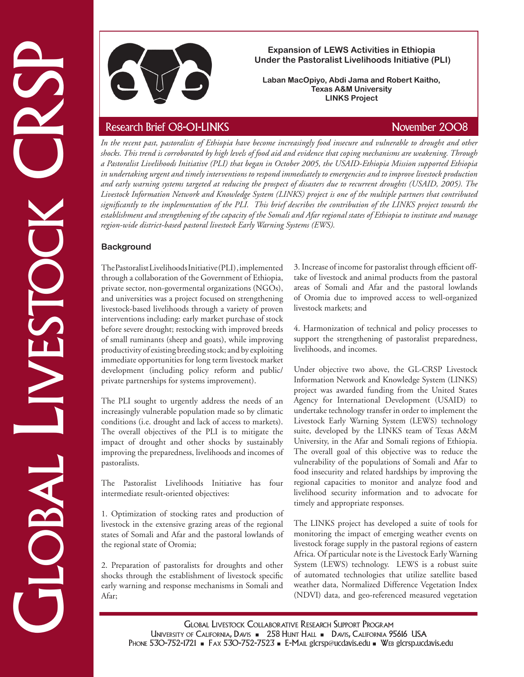

### **Expansion of LEWS Activities in Ethiopia Under the Pastoralist Livelihoods Initiative (PLI)**

**Laban MacOpiyo, Abdi Jama and Robert Kaitho, Texas A&M University LINKS Project**

**Example 19 (Example 19 (EVA)** takes a proposition of LEWS Activities in Ehrinopia (EVA)<br>
Total AS (November 2008)<br>
The case Associates CRSP Research Brief 08-01-LINKS<br>
November 2008<br>
Here recent Brief 08-01-LINKS<br>
Novemb *In the recent past, pastoralists of Ethiopia have become increasingly food insecure and vulnerable to drought and other shocks. This trend is corroborated by high levels of food aid and evidence that coping mechanisms are weakening. Through a Pastoralist Livelihoods Initiative (PLI) that began in October 2005, the USAID-Ethiopia Mission supported Ethiopia in undertaking urgent and timely interventions to respond immediately to emergencies and to improve livestock production and early warning systems targeted at reducing the prospect of disasters due to recurrent droughts (USAID, 2005). The Livestock Information Network and Knowledge System (LINKS) project is one of the multiple partners that contributed significantly to the implementation of the PLI. This brief describes the contribution of the LINKS project towards the establishment and strengthening of the capacity of the Somali and Afar regional states of Ethiopia to institute and manage region-wide district-based pastoral livestock Early Warning Systems (EWS).*

# **Background**

The Pastoralist Livelihoods Initiative (PLI) , implemented through a collaboration of the Government of Ethiopia, private sector, non-govermental organizations (NGOs), and universities was a project focused on strengthening livestock-based livelihoods through a variety of proven interventions including: early market purchase of stock before severe drought; restocking with improved breeds of small ruminants (sheep and goats), while improving productivity of existing breeding stock; and by exploiting immediate opportunities for long term livestock market development (including policy reform and public/ private partnerships for systems improvement).

The PLI sought to urgently address the needs of an increasingly vulnerable population made so by climatic conditions (i.e. drought and lack of access to markets). The overall objectives of the PLI is to mitigate the impact of drought and other shocks by sustainably improving the preparedness, livelihoods and incomes of pastoralists.

The Pastoralist Livelihoods Initiative has four intermediate result-oriented objectives:

1. Optimization of stocking rates and production of livestock in the extensive grazing areas of the regional states of Somali and Afar and the pastoral lowlands of the regional state of Oromia;

2. Preparation of pastoralists for droughts and other shocks through the establishment of livestock specific early warning and response mechanisms in Somali and Afar;

3. Increase of income for pastoralist through efficient offtake of livestock and animal products from the pastoral areas of Somali and Afar and the pastoral lowlands of Oromia due to improved access to well-organized livestock markets; and

4. Harmonization of technical and policy processes to support the strengthening of pastoralist preparedness, livelihoods, and incomes.

Under objective two above, the GL-CRSP Livestock Information Network and Knowledge System (LINKS) project was awarded funding from the United States Agency for International Development (USAID) to undertake technology transfer in order to implement the Livestock Early Warning System (LEWS) technology suite, developed by the LINKS team of Texas A&M University, in the Afar and Somali regions of Ethiopia. The overall goal of this objective was to reduce the vulnerability of the populations of Somali and Afar to food insecurity and related hardships by improving the regional capacities to monitor and analyze food and livelihood security information and to advocate for timely and appropriate responses.

The LINKS project has developed a suite of tools for monitoring the impact of emerging weather events on livestock forage supply in the pastoral regions of eastern Africa. Of particular note is the Livestock Early Warning System (LEWS) technology. LEWS is a robust suite of automated technologies that utilize satellite based weather data, Normalized Difference Vegetation Index (NDVI) data, and geo-referenced measured vegetation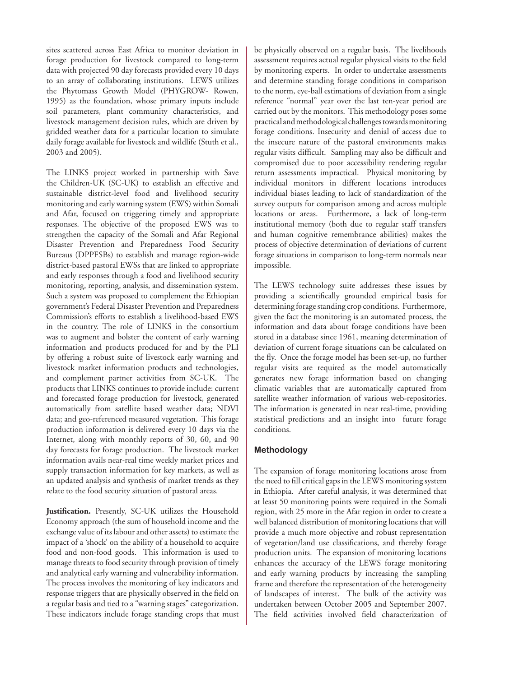sites scattered across East Africa to monitor deviation in forage production for livestock compared to long-term data with projected 90 day forecasts provided every 10 days to an array of collaborating institutions. LEWS utilizes the Phytomass Growth Model (PHYGROW- Rowen, 1995) as the foundation, whose primary inputs include soil parameters, plant community characteristics, and livestock management decision rules, which are driven by gridded weather data for a particular location to simulate daily forage available for livestock and wildlife (Stuth et al., 2003 and 2005).

The LINKS project worked in partnership with Save the Children-UK (SC-UK) to establish an effective and sustainable district-level food and livelihood security monitoring and early warning system (EWS) within Somali and Afar, focused on triggering timely and appropriate responses. The objective of the proposed EWS was to strengthen the capacity of the Somali and Afar Regional Disaster Prevention and Preparedness Food Security Bureaus (DPPFSBs) to establish and manage region-wide district-based pastoral EWSs that are linked to appropriate and early responses through a food and livelihood security monitoring, reporting, analysis, and dissemination system. Such a system was proposed to complement the Ethiopian government's Federal Disaster Prevention and Preparedness Commission's efforts to establish a livelihood-based EWS in the country. The role of LINKS in the consortium was to augment and bolster the content of early warning information and products produced for and by the PLI by offering a robust suite of livestock early warning and livestock market information products and technologies, and complement partner activities from SC-UK. The products that LINKS continues to provide include: current and forecasted forage production for livestock, generated automatically from satellite based weather data; NDVI data; and geo-referenced measured vegetation. This forage production information is delivered every 10 days via the Internet, along with monthly reports of 30, 60, and 90 day forecasts for forage production. The livestock market information avails near-real time weekly market prices and supply transaction information for key markets, as well as an updated analysis and synthesis of market trends as they relate to the food security situation of pastoral areas.

**Justification.** Presently, SC-UK utilizes the Household Economy approach (the sum of household income and the exchange value of its labour and other assets) to estimate the impact of a 'shock' on the ability of a household to acquire food and non-food goods. This information is used to manage threats to food security through provision of timely and analytical early warning and vulnerability information. The process involves the monitoring of key indicators and response triggers that are physically observed in the field on a regular basis and tied to a "warning stages" categorization. These indicators include forage standing crops that must

be physically observed on a regular basis. The livelihoods assessment requires actual regular physical visits to the field by monitoring experts. In order to undertake assessments and determine standing forage conditions in comparison to the norm, eye-ball estimations of deviation from a single reference "normal" year over the last ten-year period are carried out by the monitors. This methodology poses some practical and methodological challenges towards monitoring forage conditions. Insecurity and denial of access due to the insecure nature of the pastoral environments makes regular visits difficult. Sampling may also be difficult and compromised due to poor accessibility rendering regular return assessments impractical. Physical monitoring by individual monitors in different locations introduces individual biases leading to lack of standardization of the survey outputs for comparison among and across multiple locations or areas. Furthermore, a lack of long-term institutional memory (both due to regular staff transfers and human cognitive remembrance abilities) makes the process of objective determination of deviations of current forage situations in comparison to long-term normals near impossible.

The LEWS technology suite addresses these issues by providing a scientifically grounded empirical basis for determining forage standing crop conditions. Furthermore, given the fact the monitoring is an automated process, the information and data about forage conditions have been stored in a database since 1961, meaning determination of deviation of current forage situations can be calculated on the fly. Once the forage model has been set-up, no further regular visits are required as the model automatically generates new forage information based on changing climatic variables that are automatically captured from satellite weather information of various web-repositories. The information is generated in near real-time, providing statistical predictions and an insight into future forage conditions.

## **Methodology**

The expansion of forage monitoring locations arose from the need to fill critical gaps in the LEWS monitoring system in Ethiopia. After careful analysis, it was determined that at least 50 monitoring points were required in the Somali region, with 25 more in the Afar region in order to create a well balanced distribution of monitoring locations that will provide a much more objective and robust representation of vegetation/land use classifications, and thereby forage production units. The expansion of monitoring locations enhances the accuracy of the LEWS forage monitoring and early warning products by increasing the sampling frame and therefore the representation of the heterogeneity of landscapes of interest. The bulk of the activity was undertaken between October 2005 and September 2007. The field activities involved field characterization of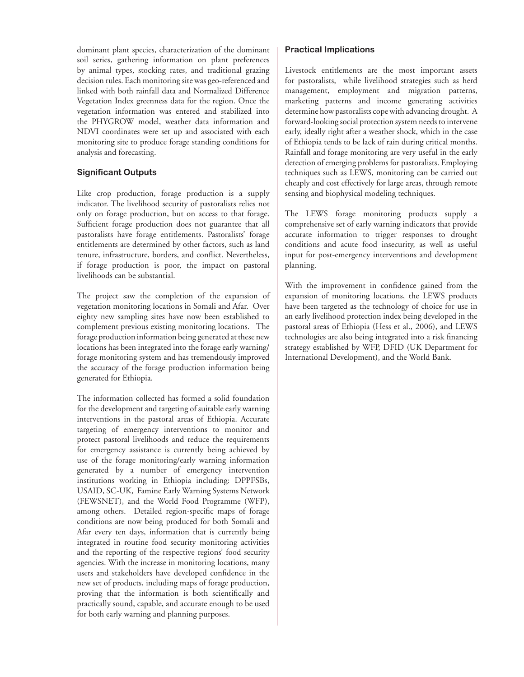dominant plant species, characterization of the dominant soil series, gathering information on plant preferences by animal types, stocking rates, and traditional grazing decision rules. Each monitoring site was geo-referenced and linked with both rainfall data and Normalized Difference Vegetation Index greenness data for the region. Once the vegetation information was entered and stabilized into the PHYGROW model, weather data information and NDVI coordinates were set up and associated with each monitoring site to produce forage standing conditions for analysis and forecasting.

### **Significant Outputs**

Like crop production, forage production is a supply indicator. The livelihood security of pastoralists relies not only on forage production, but on access to that forage. Sufficient forage production does not guarantee that all pastoralists have forage entitlements. Pastoralists' forage entitlements are determined by other factors, such as land tenure, infrastructure, borders, and conflict. Nevertheless, if forage production is poor, the impact on pastoral livelihoods can be substantial.

The project saw the completion of the expansion of vegetation monitoring locations in Somali and Afar. Over eighty new sampling sites have now been established to complement previous existing monitoring locations. The forage production information being generated at these new locations has been integrated into the forage early warning/ forage monitoring system and has tremendously improved the accuracy of the forage production information being generated for Ethiopia.

The information collected has formed a solid foundation for the development and targeting of suitable early warning interventions in the pastoral areas of Ethiopia. Accurate targeting of emergency interventions to monitor and protect pastoral livelihoods and reduce the requirements for emergency assistance is currently being achieved by use of the forage monitoring/early warning information generated by a number of emergency intervention institutions working in Ethiopia including: DPPFSBs, USAID, SC-UK, Famine Early Warning Systems Network (FEWSNET), and the World Food Programme (WFP), among others. Detailed region-specific maps of forage conditions are now being produced for both Somali and Afar every ten days, information that is currently being integrated in routine food security monitoring activities and the reporting of the respective regions' food security agencies. With the increase in monitoring locations, many users and stakeholders have developed confidence in the new set of products, including maps of forage production, proving that the information is both scientifically and practically sound, capable, and accurate enough to be used for both early warning and planning purposes.

### **Practical Implications**

Livestock entitlements are the most important assets for pastoralists, while livelihood strategies such as herd management, employment and migration patterns, marketing patterns and income generating activities determine how pastoralists cope with advancing drought. A forward-looking social protection system needs to intervene early, ideally right after a weather shock, which in the case of Ethiopia tends to be lack of rain during critical months. Rainfall and forage monitoring are very useful in the early detection of emerging problems for pastoralists. Employing techniques such as LEWS, monitoring can be carried out cheaply and cost effectively for large areas, through remote sensing and biophysical modeling techniques.

The LEWS forage monitoring products supply a comprehensive set of early warning indicators that provide accurate information to trigger responses to drought conditions and acute food insecurity, as well as useful input for post-emergency interventions and development planning.

With the improvement in confidence gained from the expansion of monitoring locations, the LEWS products have been targeted as the technology of choice for use in an early livelihood protection index being developed in the pastoral areas of Ethiopia (Hess et al., 2006), and LEWS technologies are also being integrated into a risk financing strategy established by WFP, DFID (UK Department for International Development), and the World Bank.